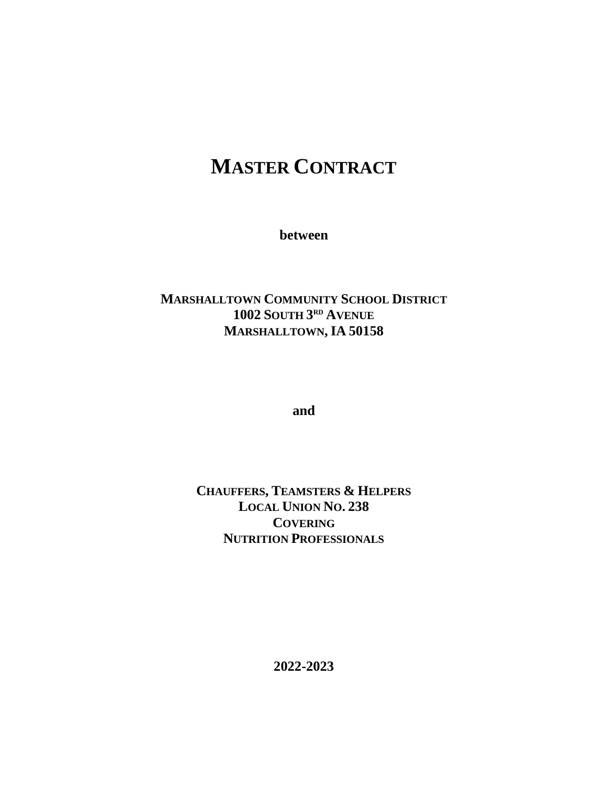# **MASTER CONTRACT**

**between**

# **MARSHALLTOWN COMMUNITY SCHOOL DISTRICT 1002 SOUTH 3 RD AVENUE MARSHALLTOWN, IA 50158**

**and**

# **CHAUFFERS, TEAMSTERS & HELPERS LOCAL UNION NO. 238 COVERING NUTRITION PROFESSIONALS**

**2022-2023**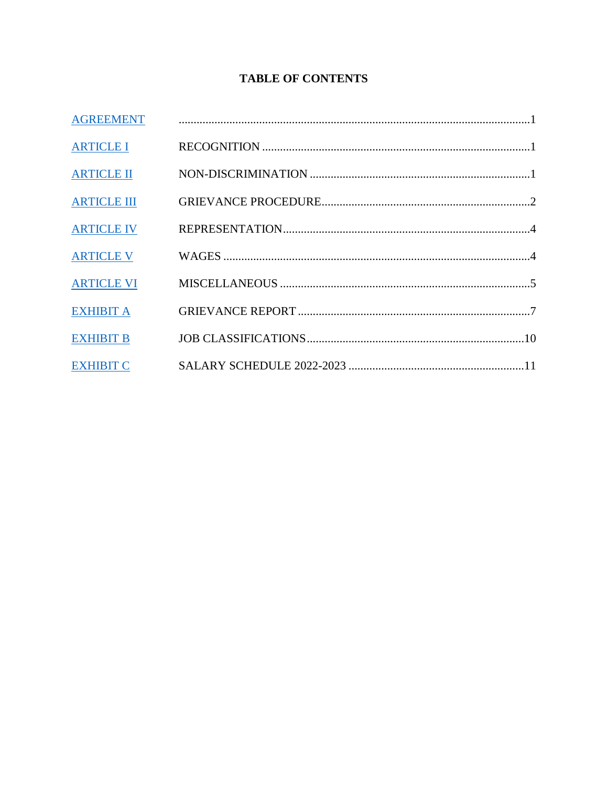# **TABLE OF CONTENTS**

| <b>AGREEMENT</b>   |  |
|--------------------|--|
| <b>ARTICLE I</b>   |  |
| <b>ARTICLE II</b>  |  |
| <b>ARTICLE III</b> |  |
| <b>ARTICLE IV</b>  |  |
| <b>ARTICLE V</b>   |  |
| <b>ARTICLE VI</b>  |  |
| <b>EXHIBIT A</b>   |  |
| <b>EXHIBIT B</b>   |  |
| <b>EXHIBIT C</b>   |  |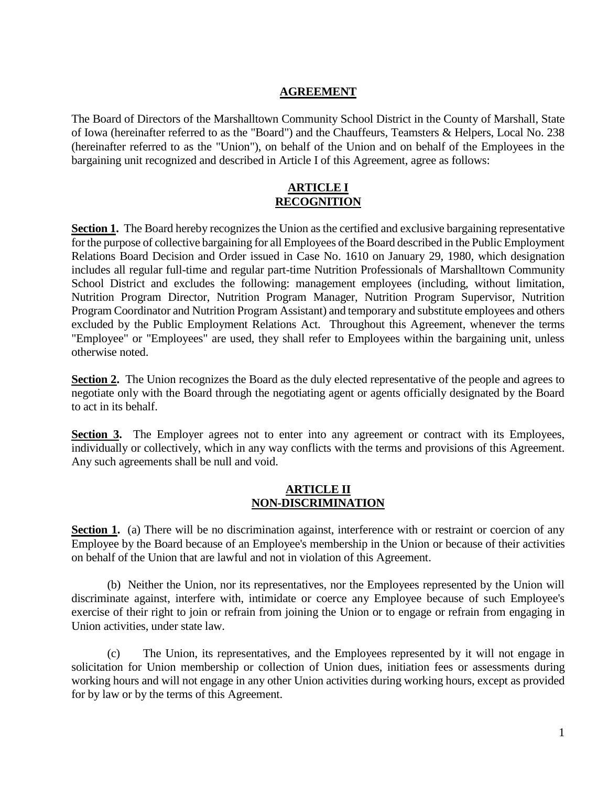#### **AGREEMENT**

<span id="page-2-0"></span>The Board of Directors of the Marshalltown Community School District in the County of Marshall, State of Iowa (hereinafter referred to as the "Board") and the Chauffeurs, Teamsters & Helpers, Local No. 238 (hereinafter referred to as the "Union"), on behalf of the Union and on behalf of the Employees in the bargaining unit recognized and described in Article I of this Agreement, agree as follows:

#### **ARTICLE I RECOGNITION**

<span id="page-2-1"></span>**Section 1.** The Board hereby recognizes the Union as the certified and exclusive bargaining representative for the purpose of collective bargaining for all Employees of the Board described in the Public Employment Relations Board Decision and Order issued in Case No. 1610 on January 29, 1980, which designation includes all regular full-time and regular part-time Nutrition Professionals of Marshalltown Community School District and excludes the following: management employees (including, without limitation, Nutrition Program Director, Nutrition Program Manager, Nutrition Program Supervisor, Nutrition Program Coordinator and Nutrition Program Assistant) and temporary and substitute employees and others excluded by the Public Employment Relations Act. Throughout this Agreement, whenever the terms "Employee" or "Employees" are used, they shall refer to Employees within the bargaining unit, unless otherwise noted.

**Section 2.** The Union recognizes the Board as the duly elected representative of the people and agrees to negotiate only with the Board through the negotiating agent or agents officially designated by the Board to act in its behalf.

**Section 3.** The Employer agrees not to enter into any agreement or contract with its Employees, individually or collectively, which in any way conflicts with the terms and provisions of this Agreement. Any such agreements shall be null and void.

#### **ARTICLE II NON-DISCRIMINATION**

<span id="page-2-2"></span>**Section 1.** (a) There will be no discrimination against, interference with or restraint or coercion of any Employee by the Board because of an Employee's membership in the Union or because of their activities on behalf of the Union that are lawful and not in violation of this Agreement.

(b) Neither the Union, nor its representatives, nor the Employees represented by the Union will discriminate against, interfere with, intimidate or coerce any Employee because of such Employee's exercise of their right to join or refrain from joining the Union or to engage or refrain from engaging in Union activities, under state law.

(c) The Union, its representatives, and the Employees represented by it will not engage in solicitation for Union membership or collection of Union dues, initiation fees or assessments during working hours and will not engage in any other Union activities during working hours, except as provided for by law or by the terms of this Agreement.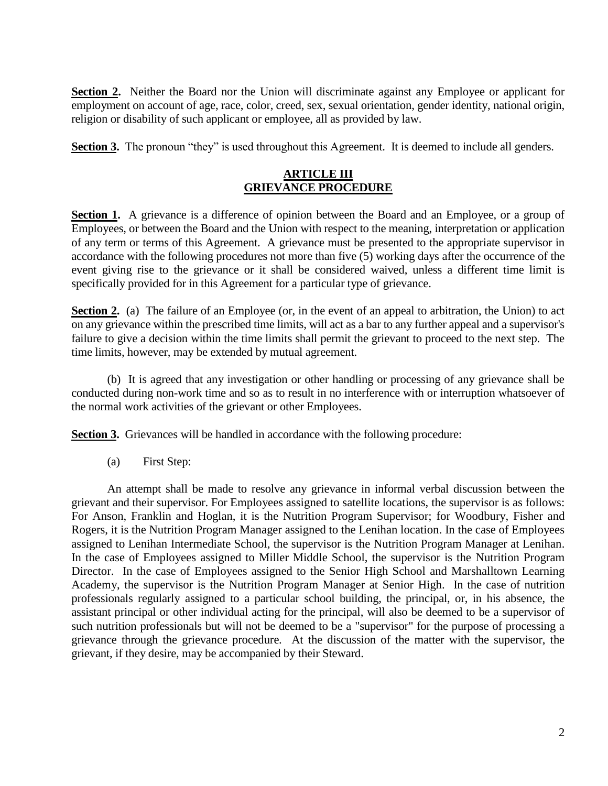**Section 2.** Neither the Board nor the Union will discriminate against any Employee or applicant for employment on account of age, race, color, creed, sex, sexual orientation, gender identity, national origin, religion or disability of such applicant or employee, all as provided by law.

<span id="page-3-0"></span>**Section 3.** The pronoun "they" is used throughout this Agreement. It is deemed to include all genders.

# **ARTICLE III GRIEVANCE PROCEDURE**

**Section 1.** A grievance is a difference of opinion between the Board and an Employee, or a group of Employees, or between the Board and the Union with respect to the meaning, interpretation or application of any term or terms of this Agreement. A grievance must be presented to the appropriate supervisor in accordance with the following procedures not more than five (5) working days after the occurrence of the event giving rise to the grievance or it shall be considered waived, unless a different time limit is specifically provided for in this Agreement for a particular type of grievance.

**Section 2.** (a) The failure of an Employee (or, in the event of an appeal to arbitration, the Union) to act on any grievance within the prescribed time limits, will act as a bar to any further appeal and a supervisor's failure to give a decision within the time limits shall permit the grievant to proceed to the next step. The time limits, however, may be extended by mutual agreement.

(b) It is agreed that any investigation or other handling or processing of any grievance shall be conducted during non-work time and so as to result in no interference with or interruption whatsoever of the normal work activities of the grievant or other Employees.

**Section 3.** Grievances will be handled in accordance with the following procedure:

(a) First Step:

An attempt shall be made to resolve any grievance in informal verbal discussion between the grievant and their supervisor. For Employees assigned to satellite locations, the supervisor is as follows: For Anson, Franklin and Hoglan, it is the Nutrition Program Supervisor; for Woodbury, Fisher and Rogers, it is the Nutrition Program Manager assigned to the Lenihan location. In the case of Employees assigned to Lenihan Intermediate School, the supervisor is the Nutrition Program Manager at Lenihan. In the case of Employees assigned to Miller Middle School, the supervisor is the Nutrition Program Director. In the case of Employees assigned to the Senior High School and Marshalltown Learning Academy, the supervisor is the Nutrition Program Manager at Senior High. In the case of nutrition professionals regularly assigned to a particular school building, the principal, or, in his absence, the assistant principal or other individual acting for the principal, will also be deemed to be a supervisor of such nutrition professionals but will not be deemed to be a "supervisor" for the purpose of processing a grievance through the grievance procedure. At the discussion of the matter with the supervisor, the grievant, if they desire, may be accompanied by their Steward.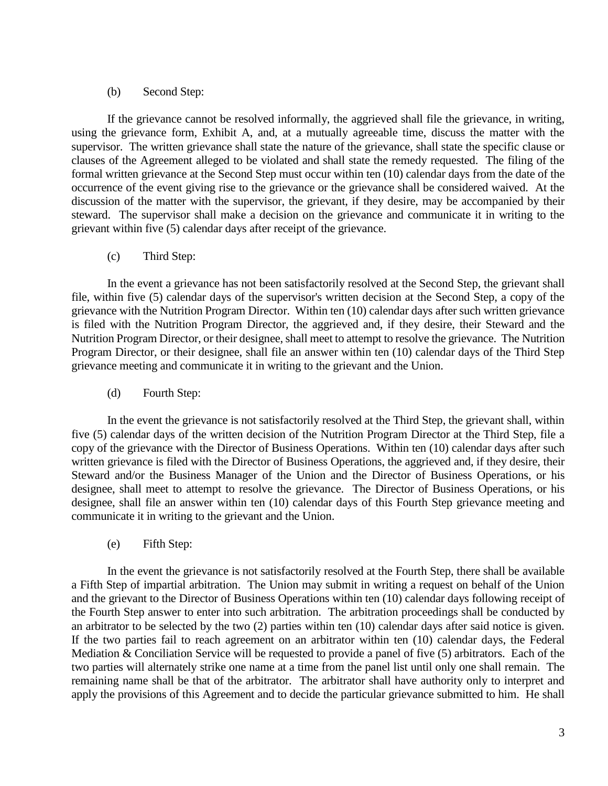#### (b) Second Step:

If the grievance cannot be resolved informally, the aggrieved shall file the grievance, in writing, using the grievance form, Exhibit A, and, at a mutually agreeable time, discuss the matter with the supervisor. The written grievance shall state the nature of the grievance, shall state the specific clause or clauses of the Agreement alleged to be violated and shall state the remedy requested. The filing of the formal written grievance at the Second Step must occur within ten (10) calendar days from the date of the occurrence of the event giving rise to the grievance or the grievance shall be considered waived. At the discussion of the matter with the supervisor, the grievant, if they desire, may be accompanied by their steward. The supervisor shall make a decision on the grievance and communicate it in writing to the grievant within five (5) calendar days after receipt of the grievance.

(c) Third Step:

In the event a grievance has not been satisfactorily resolved at the Second Step, the grievant shall file, within five (5) calendar days of the supervisor's written decision at the Second Step, a copy of the grievance with the Nutrition Program Director. Within ten (10) calendar days after such written grievance is filed with the Nutrition Program Director, the aggrieved and, if they desire, their Steward and the Nutrition Program Director, or their designee, shall meet to attempt to resolve the grievance. The Nutrition Program Director, or their designee, shall file an answer within ten (10) calendar days of the Third Step grievance meeting and communicate it in writing to the grievant and the Union.

(d) Fourth Step:

In the event the grievance is not satisfactorily resolved at the Third Step, the grievant shall, within five (5) calendar days of the written decision of the Nutrition Program Director at the Third Step, file a copy of the grievance with the Director of Business Operations. Within ten (10) calendar days after such written grievance is filed with the Director of Business Operations, the aggrieved and, if they desire, their Steward and/or the Business Manager of the Union and the Director of Business Operations, or his designee, shall meet to attempt to resolve the grievance. The Director of Business Operations, or his designee, shall file an answer within ten (10) calendar days of this Fourth Step grievance meeting and communicate it in writing to the grievant and the Union.

(e) Fifth Step:

In the event the grievance is not satisfactorily resolved at the Fourth Step, there shall be available a Fifth Step of impartial arbitration. The Union may submit in writing a request on behalf of the Union and the grievant to the Director of Business Operations within ten (10) calendar days following receipt of the Fourth Step answer to enter into such arbitration. The arbitration proceedings shall be conducted by an arbitrator to be selected by the two (2) parties within ten (10) calendar days after said notice is given. If the two parties fail to reach agreement on an arbitrator within ten (10) calendar days, the Federal Mediation & Conciliation Service will be requested to provide a panel of five (5) arbitrators. Each of the two parties will alternately strike one name at a time from the panel list until only one shall remain. The remaining name shall be that of the arbitrator. The arbitrator shall have authority only to interpret and apply the provisions of this Agreement and to decide the particular grievance submitted to him. He shall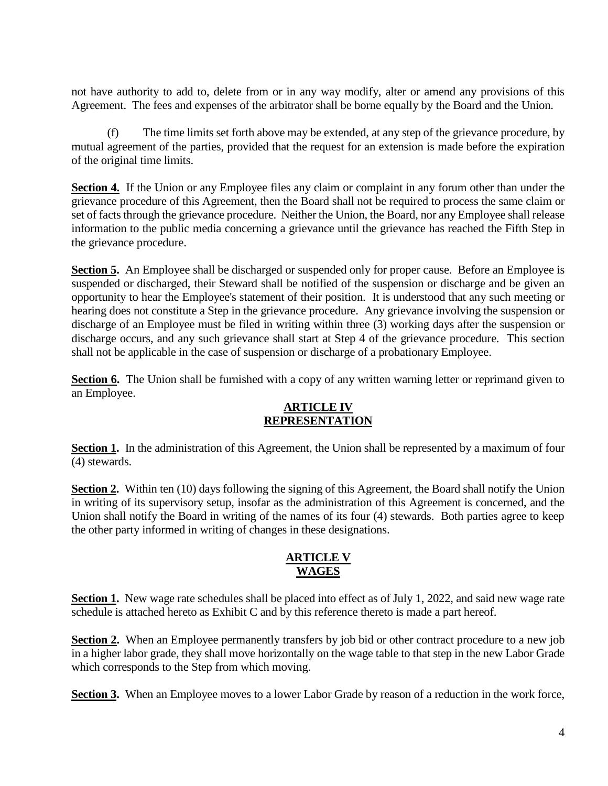not have authority to add to, delete from or in any way modify, alter or amend any provisions of this Agreement. The fees and expenses of the arbitrator shall be borne equally by the Board and the Union.

(f) The time limits set forth above may be extended, at any step of the grievance procedure, by mutual agreement of the parties, provided that the request for an extension is made before the expiration of the original time limits.

**Section 4.** If the Union or any Employee files any claim or complaint in any forum other than under the grievance procedure of this Agreement, then the Board shall not be required to process the same claim or set of facts through the grievance procedure. Neither the Union, the Board, nor any Employee shall release information to the public media concerning a grievance until the grievance has reached the Fifth Step in the grievance procedure.

**Section 5.** An Employee shall be discharged or suspended only for proper cause. Before an Employee is suspended or discharged, their Steward shall be notified of the suspension or discharge and be given an opportunity to hear the Employee's statement of their position. It is understood that any such meeting or hearing does not constitute a Step in the grievance procedure. Any grievance involving the suspension or discharge of an Employee must be filed in writing within three (3) working days after the suspension or discharge occurs, and any such grievance shall start at Step 4 of the grievance procedure. This section shall not be applicable in the case of suspension or discharge of a probationary Employee.

<span id="page-5-0"></span>**Section 6.** The Union shall be furnished with a copy of any written warning letter or reprimand given to an Employee.

## **ARTICLE IV REPRESENTATION**

**Section 1.** In the administration of this Agreement, the Union shall be represented by a maximum of four (4) stewards.

**Section 2.** Within ten (10) days following the signing of this Agreement, the Board shall notify the Union in writing of its supervisory setup, insofar as the administration of this Agreement is concerned, and the Union shall notify the Board in writing of the names of its four (4) stewards. Both parties agree to keep the other party informed in writing of changes in these designations.

## **ARTICLE V WAGES**

<span id="page-5-1"></span>**Section 1.** New wage rate schedules shall be placed into effect as of July 1, 2022, and said new wage rate schedule is attached hereto as Exhibit C and by this reference thereto is made a part hereof.

**Section 2.** When an Employee permanently transfers by job bid or other contract procedure to a new job in a higher labor grade, they shall move horizontally on the wage table to that step in the new Labor Grade which corresponds to the Step from which moving.

**Section 3.** When an Employee moves to a lower Labor Grade by reason of a reduction in the work force,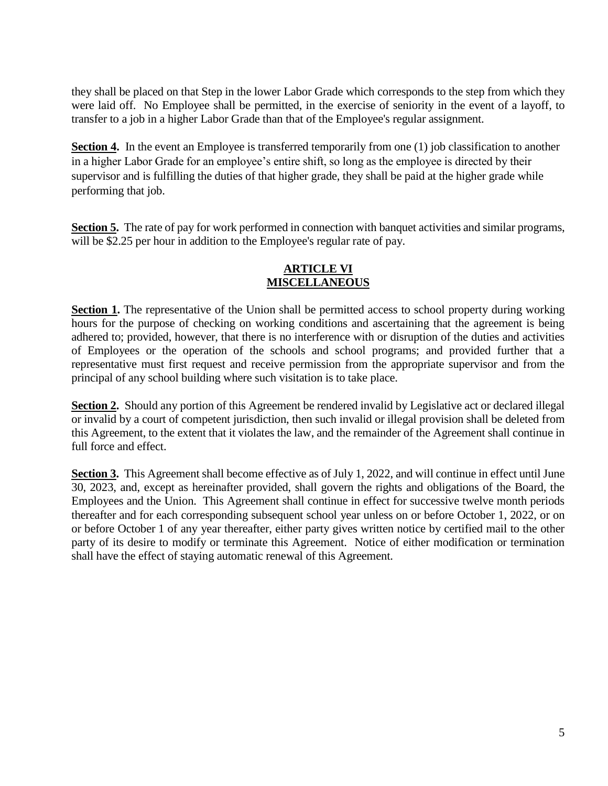they shall be placed on that Step in the lower Labor Grade which corresponds to the step from which they were laid off. No Employee shall be permitted, in the exercise of seniority in the event of a layoff, to transfer to a job in a higher Labor Grade than that of the Employee's regular assignment.

**Section 4.** In the event an Employee is transferred temporarily from one (1) job classification to another in a higher Labor Grade for an employee's entire shift, so long as the employee is directed by their supervisor and is fulfilling the duties of that higher grade, they shall be paid at the higher grade while performing that job.

<span id="page-6-0"></span>**Section 5.** The rate of pay for work performed in connection with banquet activities and similar programs, will be \$2.25 per hour in addition to the Employee's regular rate of pay.

# **ARTICLE VI MISCELLANEOUS**

**Section 1.** The representative of the Union shall be permitted access to school property during working hours for the purpose of checking on working conditions and ascertaining that the agreement is being adhered to; provided, however, that there is no interference with or disruption of the duties and activities of Employees or the operation of the schools and school programs; and provided further that a representative must first request and receive permission from the appropriate supervisor and from the principal of any school building where such visitation is to take place.

**Section 2.** Should any portion of this Agreement be rendered invalid by Legislative act or declared illegal or invalid by a court of competent jurisdiction, then such invalid or illegal provision shall be deleted from this Agreement, to the extent that it violates the law, and the remainder of the Agreement shall continue in full force and effect.

Section 3. This Agreement shall become effective as of July 1, 2022, and will continue in effect until June 30, 2023, and, except as hereinafter provided, shall govern the rights and obligations of the Board, the Employees and the Union. This Agreement shall continue in effect for successive twelve month periods thereafter and for each corresponding subsequent school year unless on or before October 1, 2022, or on or before October 1 of any year thereafter, either party gives written notice by certified mail to the other party of its desire to modify or terminate this Agreement. Notice of either modification or termination shall have the effect of staying automatic renewal of this Agreement.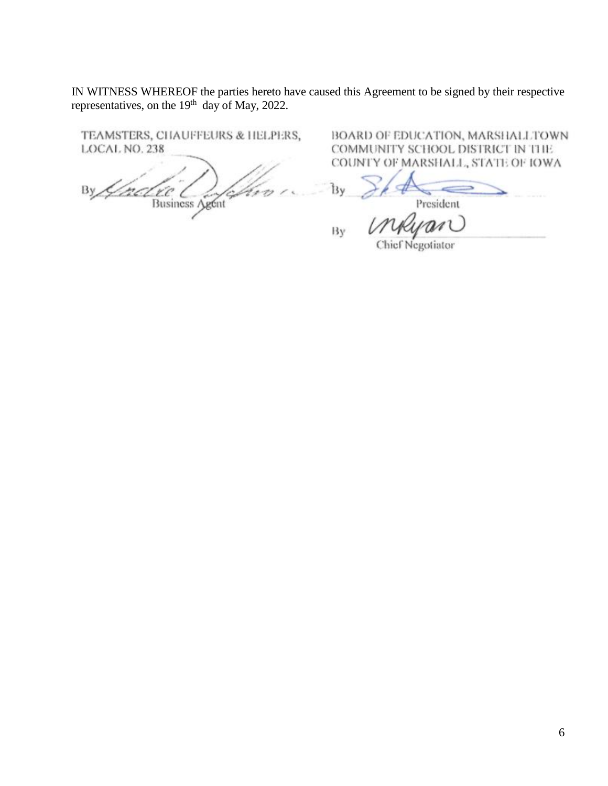IN WITNESS WHEREOF the parties hereto have caused this Agreement to be signed by their respective representatives, on the 19<sup>th</sup> day of May, 2022.

TEAMSTERS, CHAUFFEURS & HELPERS, LOCAL NO. 238

<span id="page-7-0"></span>nel vie Com By

BOARD OF EDUCATION, MARSHALLTOWN COMMUNITY SCHOOL DISTRICT IN THE COUNTY OF MARSHALL, STATE OF IOWA

Ìλγ President

By

 $n\ell$ Chief Negotiator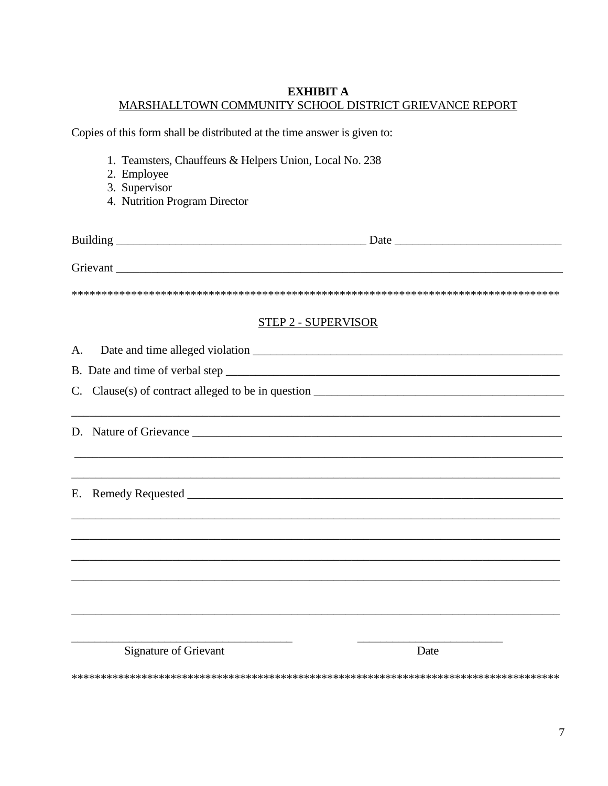#### **EXHIBIT A** MARSHALLTOWN COMMUNITY SCHOOL DISTRICT GRIEVANCE REPORT

Copies of this form shall be distributed at the time answer is given to:

- 1. Teamsters, Chauffeurs & Helpers Union, Local No. 238
- 2. Employee<br>3. Supervisor
- 
- 4. Nutrition Program Director

|                              | <b>STEP 2 - SUPERVISOR</b> |
|------------------------------|----------------------------|
| A.                           |                            |
|                              |                            |
|                              |                            |
|                              |                            |
| Е.                           |                            |
|                              |                            |
|                              |                            |
| <b>Signature of Grievant</b> | Date                       |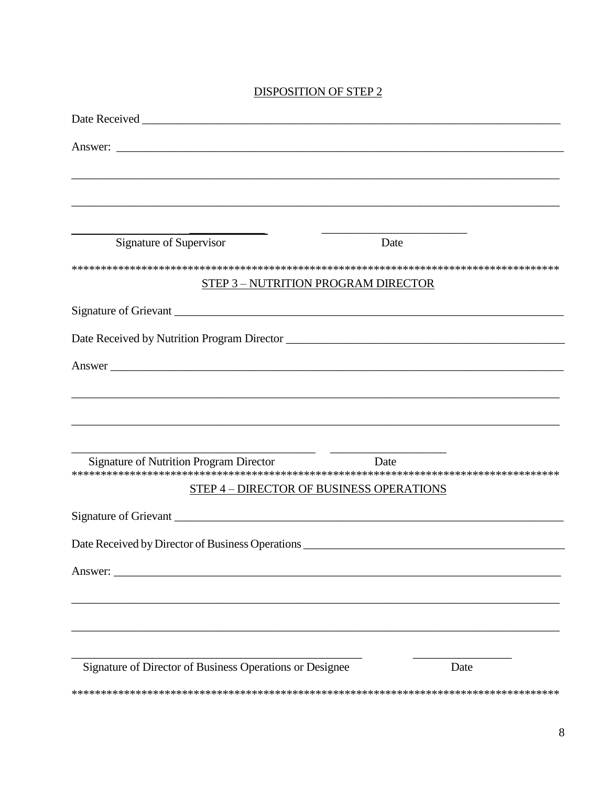# **DISPOSITION OF STEP 2**

| Answer:                                                                           |
|-----------------------------------------------------------------------------------|
| ,我们也不能在这里的时候,我们也不能在这里的时候,我们也不能会在这里的时候,我们也不能会在这里的时候,我们也不能会在这里的时候,我们也不能会在这里的时候,我们也不 |
|                                                                                   |
|                                                                                   |
| Signature of Supervisor<br>Date                                                   |
|                                                                                   |
| <b>STEP 3 - NUTRITION PROGRAM DIRECTOR</b>                                        |
|                                                                                   |
|                                                                                   |
| Answer                                                                            |
|                                                                                   |
|                                                                                   |
|                                                                                   |
| Signature of Nutrition Program Director                                           |
| Date                                                                              |
| STEP 4 - DIRECTOR OF BUSINESS OPERATIONS                                          |
|                                                                                   |
|                                                                                   |
|                                                                                   |
| Answer:                                                                           |
|                                                                                   |
|                                                                                   |
|                                                                                   |
| Signature of Director of Business Operations or Designee<br>Date                  |
|                                                                                   |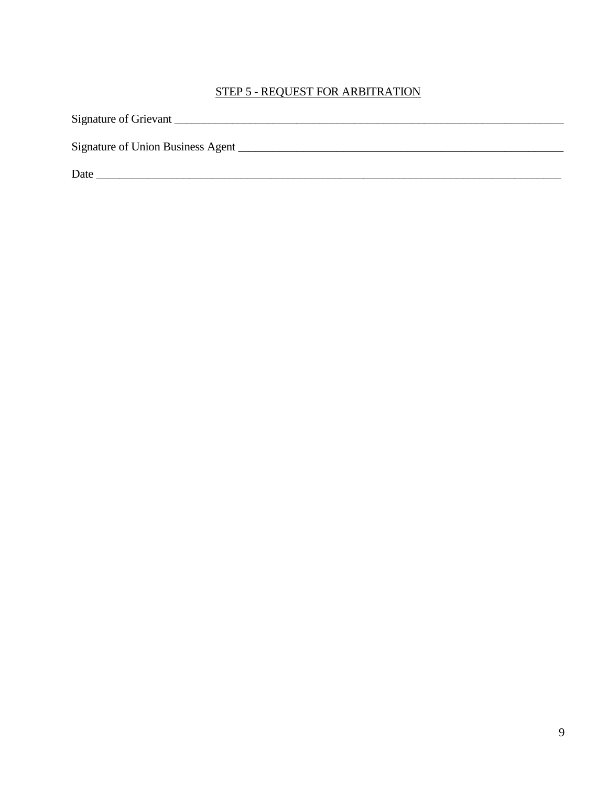# STEP 5 - REQUEST FOR ARBITRATION

| Signature of Grievant             |
|-----------------------------------|
| Signature of Union Business Agent |
| Date                              |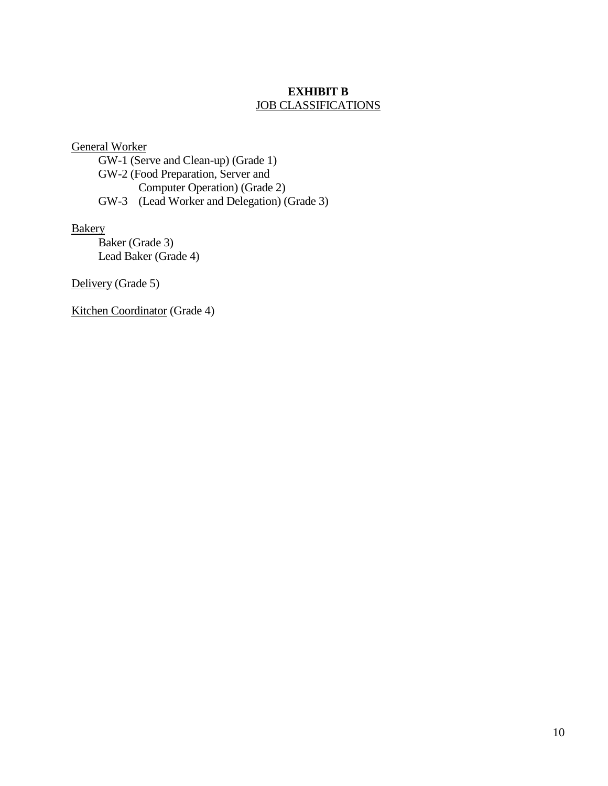#### **EXHIBIT B** JOB CLASSIFICATIONS

<span id="page-11-0"></span>General Worker

GW-1 (Serve and Clean-up) (Grade 1) GW-2 (Food Preparation, Server and Computer Operation) (Grade 2) GW-3 (Lead Worker and Delegation) (Grade 3)

**Bakery** 

Baker (Grade 3) Lead Baker (Grade 4)

Delivery (Grade 5)

Kitchen Coordinator (Grade 4)